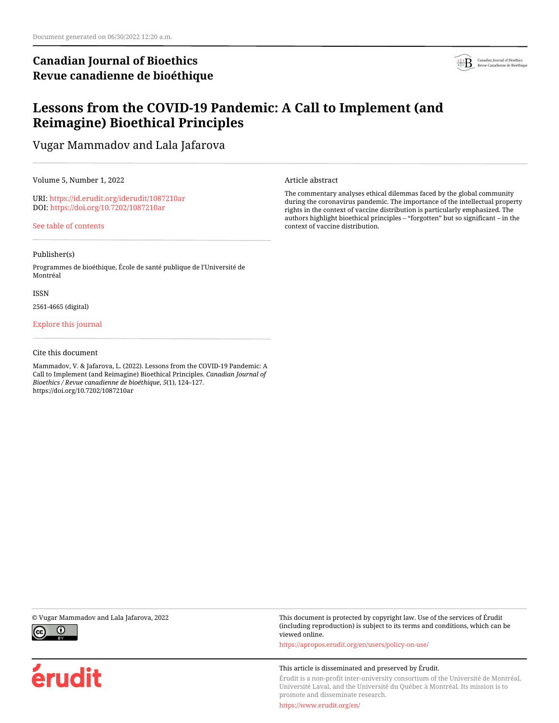# **Canadian Journal of Bioethics Revue canadienne de bioéthique**



# **Lessons from the COVID-19 Pandemic: A Call to Implement (and Reimagine) Bioethical Principles**

Vugar Mammadov and Lala Jafarova

Volume 5, Number 1, 2022

URI:<https://id.erudit.org/iderudit/1087210ar> DOI:<https://doi.org/10.7202/1087210ar>

[See table of contents](https://www.erudit.org/en/journals/bioethics/2022-v5-n1-bioethics06848/)

#### Publisher(s)

Programmes de bioéthique, École de santé publique de l'Université de Montréal

#### ISSN

2561-4665 (digital)

### [Explore this journal](https://www.erudit.org/en/journals/bioethics/)

### Cite this document

Mammadov, V. & Jafarova, L. (2022). Lessons from the COVID-19 Pandemic: A Call to Implement (and Reimagine) Bioethical Principles. *Canadian Journal of Bioethics / Revue canadienne de bioéthique*, *5*(1), 124–127. https://doi.org/10.7202/1087210ar

Article abstract

The commentary analyses ethical dilemmas faced by the global community during the coronavirus pandemic. The importance of the intellectual property rights in the context of vaccine distribution is particularly emphasized. The authors highlight bioethical principles – "forgotten" but so significant – in the context of vaccine distribution.



érudit

© Vugar Mammadov and Lala Jafarova, 2022 This document is protected by copyright law. Use of the services of Érudit (including reproduction) is subject to its terms and conditions, which can be viewed online.

<https://apropos.erudit.org/en/users/policy-on-use/>

#### This article is disseminated and preserved by Érudit.

Érudit is a non-profit inter-university consortium of the Université de Montréal, Université Laval, and the Université du Québec à Montréal. Its mission is to promote and disseminate research.

<https://www.erudit.org/en/>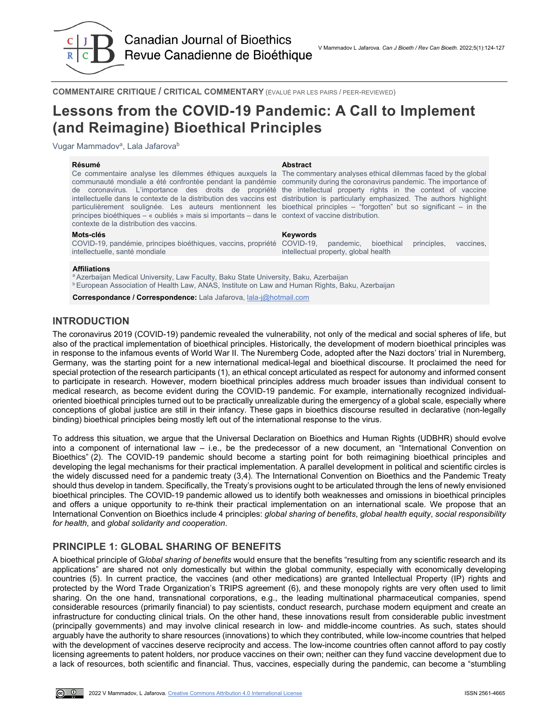

**Canadian Journal of Bioethics** Revue Canadienne de Bioéthique

**COMMENTAIRE CRITIQUE / CRITICAL COMMENTARY** (ÉVALUÉ PAR LES PAIRS / PEER-REVIEWED)

# **Lessons from the COVID-19 Pandemic: A Call to Implement (and Reimagine) Bioethical Principles**

Vugar Mammadov<sup>a</sup>, Lala Jafarova<sup>b</sup>

#### **Résumé Abstract**

Ce commentaire analyse les dilemmes éthiques auxquels la The commentary analyses ethical dilemmas faced by the global communauté mondiale a été confrontée pendant la pandémie community during the coronavirus pandemic. The importance of de coronavirus. L'importance des droits de propriété the intellectual property rights in the context of vaccine intellectuelle dans le contexte de la distribution des vaccins est distribution is particularly emphasized. The authors highlight particulièrement soulignée. Les auteurs mentionnent les bioethical principles – "forgotten" but so significant – in the principes bioéthiques – « oubliés » mais si importants – dans le context of vaccine distribution. contexte de la distribution des vaccins.

#### **Mots-clés Keywords**

COVID-19, pandémie, principes bioéthiques, vaccins, propriété COVID-19, pandemic, bioethical principles, vaccines, intellectuelle, santé mondiale

intellectual property, global health

#### **Affiliations**

a Azerbaijan Medical University, Law Faculty, Baku State University, Baku, Azerbaijan **b European Association of Health Law, ANAS, Institute on Law and Human Rights, Baku, Azerbaijan** 

**Correspondance / Correspondence:** Lala Jafarova, [lala-j@hotmail.com](mailto:lala-j@hotmail.com)

# **INTRODUCTION**

The coronavirus 2019 (COVID-19) pandemic revealed the vulnerability, not only of the medical and social spheres of life, but also of the practical implementation of bioethical principles. Historically, the development of modern bioethical principles was in response to the infamous events of World War II. The Nuremberg Code, adopted after the Nazi doctors' trial in Nuremberg, Germany, was the starting point for a new international medical-legal and bioethical discourse. It proclaimed the need for special protection of the research participants (1), an ethical concept articulated as respect for autonomy and informed consent to participate in research. However, modern bioethical principles address much broader issues than individual consent to medical research, as become evident during the COVID-19 pandemic. For example, internationally recognized individualoriented bioethical principles turned out to be practically unrealizable during the emergency of a global scale, especially where conceptions of global justice are still in their infancy. These gaps in bioethics discourse resulted in declarative (non-legally binding) bioethical principles being mostly left out of the international response to the virus.

To address this situation, we argue that the Universal Declaration on Bioethics and Human Rights (UDBHR) should evolve into a component of international law – i.e., be the predecessor of a new document, an "International Convention on Bioethics" (2). The COVID-19 pandemic should become a starting point for both reimagining bioethical principles and developing the legal mechanisms for their practical implementation. A parallel development in political and scientific circles is the widely discussed need for a pandemic treaty (3,4). The International Convention on Bioethics and the Pandemic Treaty should thus develop in tandem. Specifically, the Treaty's provisions ought to be articulated through the lens of newly envisioned bioethical principles. The COVID-19 pandemic allowed us to identify both weaknesses and omissions in bioethical principles and offers a unique opportunity to re-think their practical implementation on an international scale. We propose that an International Convention on Bioethics include 4 principles: *global sharing of benefits*, *global health equity*, *social responsibility for health*, and *global solidarity and cooperation*.

## **PRINCIPLE 1: GLOBAL SHARING OF BENEFITS**

A bioethical principle of G*lobal sharing of benefits* would ensure that the benefits "resulting from any scientific research and its applications" are shared not only domestically but within the global community, especially with economically developing countries (5). In current practice, the vaccines (and other medications) are granted Intellectual Property (IP) rights and protected by the Word Trade Organization's TRIPS agreement (6), and these monopoly rights are very often used to limit sharing. On the one hand, transnational corporations, e.g., the leading multinational pharmaceutical companies, spend considerable resources (primarily financial) to pay scientists, conduct research, purchase modern equipment and create an infrastructure for conducting clinical trials. On the other hand, these innovations result from considerable public investment (principally governments) and may involve clinical research in low- and middle-income countries. As such, states should arguably have the authority to share resources (innovations) to which they contributed, while low-income countries that helped with the development of vaccines deserve reciprocity and access. The low-income countries often cannot afford to pay costly licensing agreements to patent holders, nor produce vaccines on their own; neither can they fund vaccine development due to a lack of resources, both scientific and financial. Thus, vaccines, especially during the pandemic, can become a "stumbling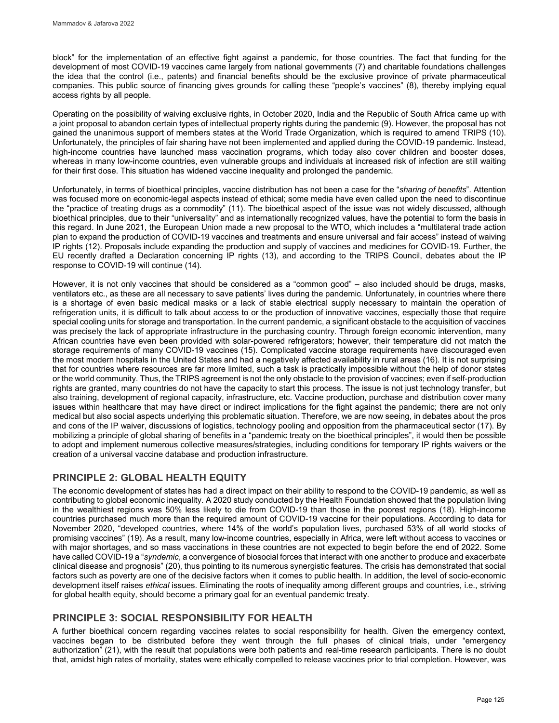block" for the implementation of an effective fight against a pandemic, for those countries. The fact that funding for the development of most COVID-19 vaccines came largely from national governments (7) and charitable foundations challenges the idea that the control (i.e., patents) and financial benefits should be the exclusive province of private pharmaceutical companies. This public source of financing gives grounds for calling these "people's vaccines" (8), thereby implying equal access rights by all people.

Operating on the possibility of waiving exclusive rights, in October 2020, India and the Republic of South Africa came up with a joint proposal to abandon certain types of intellectual property rights during the pandemic (9). However, the proposal has not gained the unanimous support of members states at the World Trade Organization, which is required to amend TRIPS (10). Unfortunately, the principles of fair sharing have not been implemented and applied during the COVID-19 pandemic. Instead, high-income countries have launched mass vaccination programs, which today also cover children and booster doses, whereas in many low-income countries, even vulnerable groups and individuals at increased risk of infection are still waiting for their first dose. This situation has widened vaccine inequality and prolonged the pandemic.

Unfortunately, in terms of bioethical principles, vaccine distribution has not been a case for the "*sharing of benefits*". Attention was focused more on economic-legal aspects instead of ethical; some media have even called upon the need to discontinue the "practice of treating drugs as a commodity" (11). The bioethical aspect of the issue was not widely discussed, although bioethical principles, due to their "universality" and as internationally recognized values, have the potential to form the basis in this regard. In June 2021, the European Union made a new proposal to the WTO, which includes a "multilateral trade action plan to expand the production of COVID-19 vaccines and treatments and ensure universal and fair access" instead of waiving IP rights (12). Proposals include expanding the production and supply of vaccines and medicines for COVID-19. Further, the EU recently drafted a Declaration concerning IP rights (13), and according to the TRIPS Council, debates about the IP response to COVID-19 will continue (14).

However, it is not only vaccines that should be considered as a "common good" – also included should be drugs, masks, ventilators etc., as these are all necessary to save patients' lives during the pandemic. Unfortunately, in countries where there is a shortage of even basic medical masks or a lack of stable electrical supply necessary to maintain the operation of refrigeration units, it is difficult to talk about access to or the production of innovative vaccines, especially those that require special cooling units for storage and transportation. In the current pandemic, a significant obstacle to the acquisition of vaccines was precisely the lack of appropriate infrastructure in the purchasing country. Through foreign economic intervention, many African countries have even been provided with solar-powered refrigerators; however, their temperature did not match the storage requirements of many COVID-19 vaccines (15). Complicated vaccine storage requirements have discouraged even the most modern hospitals in the United States and had a negatively affected availability in rural areas (16). It is not surprising that for countries where resources are far more limited, such a task is practically impossible without the help of donor states or the world community. Thus, the TRIPS agreement is not the only obstacle to the provision of vaccines; even if self-production rights are granted, many countries do not have the capacity to start this process. The issue is not just technology transfer, but also training, development of regional capacity, infrastructure, etc. Vaccine production, purchase and distribution cover many issues within healthcare that may have direct or indirect implications for the fight against the pandemic; there are not only medical but also social aspects underlying this problematic situation. Therefore, we are now seeing, in debates about the pros and cons of the IP waiver, discussions of logistics, technology pooling and opposition from the pharmaceutical sector (17). By mobilizing a principle of global sharing of benefits in a "pandemic treaty on the bioethical principles", it would then be possible to adopt and implement numerous collective measures/strategies, including conditions for temporary IP rights waivers or the creation of a universal vaccine database and production infrastructure.

# **PRINCIPLE 2: GLOBAL HEALTH EQUITY**

The economic development of states has had a direct impact on their ability to respond to the COVID-19 pandemic, as well as contributing to global economic inequality. A 2020 study conducted by the Health Foundation showed that the population living in the wealthiest regions was 50% less likely to die from COVID-19 than those in the poorest regions (18). High-income countries purchased much more than the required amount of COVID-19 vaccine for their populations. According to data for November 2020, "developed countries, where 14% of the world's population lives, purchased 53% of all world stocks of promising vaccines" (19). As a result, many low-income countries, especially in Africa, were left without access to vaccines or with major shortages, and so mass vaccinations in these countries are not expected to begin before the end of 2022. Some have called COVID-19 a "*syndemic*, a convergence of biosocial forces that interact with one another to produce and exacerbate clinical disease and prognosis" (20), thus pointing to its numerous synergistic features. The crisis has demonstrated that social factors such as poverty are one of the decisive factors when it comes to public health. In addition, the level of socio-economic development itself raises *ethical* issues. Eliminating the roots of inequality among different groups and countries, i.e., striving for global health equity, should become a primary goal for an eventual pandemic treaty.

# **PRINCIPLE 3: SOCIAL RESPONSIBILITY FOR HEALTH**

A further bioethical concern regarding vaccines relates to social responsibility for health. Given the emergency context, vaccines began to be distributed before they went through the full phases of clinical trials, under "emergency authorization" (21), with the result that populations were both patients and real-time research participants. There is no doubt that, amidst high rates of mortality, states were ethically compelled to release vaccines prior to trial completion. However, was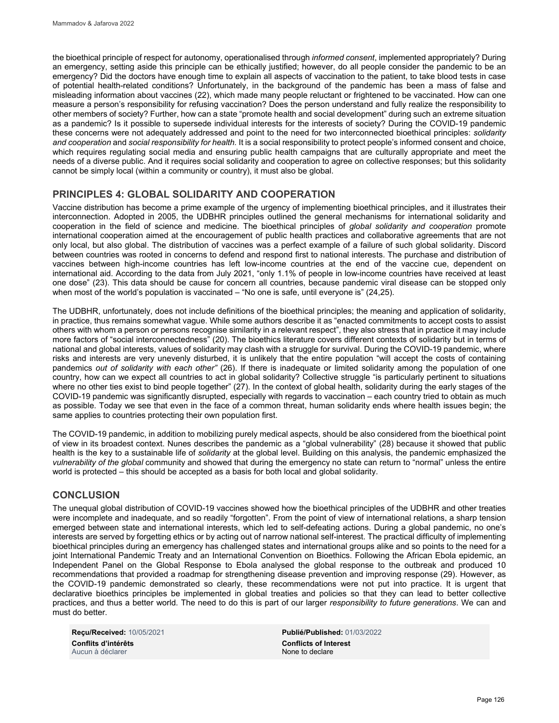the bioethical principle of respect for autonomy, operationalised through *informed consent*, implemented appropriately? During an emergency, setting aside this principle can be ethically justified; however, do all people consider the pandemic to be an emergency? Did the doctors have enough time to explain all aspects of vaccination to the patient, to take blood tests in case of potential health-related conditions? Unfortunately, in the background of the pandemic has been a mass of false and misleading information about vaccines (22), which made many people reluctant or frightened to be vaccinated. How can one measure a person's responsibility for refusing vaccination? Does the person understand and fully realize the responsibility to other members of society? Further, how can a state "promote health and social development" during such an extreme situation as a pandemic? Is it possible to supersede individual interests for the interests of society? During the COVID-19 pandemic these concerns were not adequately addressed and point to the need for two interconnected bioethical principles: *solidarity and cooperation* and *social responsibility for health.* It is a social responsibility to protect people's informed consent and choice, which requires regulating social media and ensuring public health campaigns that are culturally appropriate and meet the needs of a diverse public. And it requires social solidarity and cooperation to agree on collective responses; but this solidarity cannot be simply local (within a community or country), it must also be global.

# **PRINCIPLES 4: GLOBAL SOLIDARITY AND COOPERATION**

Vaccine distribution has become a prime example of the urgency of implementing bioethical principles, and it illustrates their interconnection. Adopted in 2005, the UDBHR principles outlined the general mechanisms for international solidarity and cooperation in the field of science and medicine. The bioethical principles of *global solidarity and cooperation* promote international cooperation aimed at the encouragement of public health practices and collaborative agreements that are not only local, but also global. The distribution of vaccines was a perfect example of a failure of such global solidarity. Discord between countries was rooted in concerns to defend and respond first to national interests. The purchase and distribution of vaccines between high-income countries has left low-income countries at the end of the vaccine cue, dependent on international aid. According to the data from July 2021, "only 1.1% of people in low-income countries have received at least one dose" (23). This data should be cause for concern all countries, because pandemic viral disease can be stopped only when most of the world's population is vaccinated – "No one is safe, until everyone is" (24,25).

The UDBHR, unfortunately, does not include definitions of the bioethical principles; the meaning and application of solidarity, in practice, thus remains somewhat vague. While some authors describe it as "enacted commitments to accept costs to assist others with whom a person or persons recognise similarity in a relevant respect", they also stress that in practice it may include more factors of "social interconnectedness" (20). The bioethics literature covers different contexts of solidarity but in terms of national and global interests, values of solidarity may clash with a struggle for survival. During the COVID-19 pandemic, where risks and interests are very unevenly disturbed, it is unlikely that the entire population "will accept the costs of containing pandemics *out of solidarity with each other"* (26). If there is inadequate or limited solidarity among the population of one country, how can we expect all countries to act in global solidarity? Collective struggle "is particularly pertinent to situations where no other ties exist to bind people together" (27). In the context of global health, solidarity during the early stages of the COVID-19 pandemic was significantly disrupted, especially with regards to vaccination – each country tried to obtain as much as possible. Today we see that even in the face of a common threat, human solidarity ends where health issues begin; the same applies to countries protecting their own population first.

The COVID-19 pandemic, in addition to mobilizing purely medical aspects, should be also considered from the bioethical point of view in its broadest context. Nunes describes the pandemic as a "global vulnerability" (28) because it showed that public health is the key to a sustainable life of *solidarity* at the global level. Building on this analysis, the pandemic emphasized the *vulnerability of the global* community and showed that during the emergency no state can return to "normal" unless the entire world is protected – this should be accepted as a basis for both local and global solidarity.

# **CONCLUSION**

The unequal global distribution of COVID-19 vaccines showed how the bioethical principles of the UDBHR and other treaties were incomplete and inadequate, and so readily "forgotten". From the point of view of international relations, a sharp tension emerged between state and international interests, which led to self-defeating actions. During a global pandemic, no one's interests are served by forgetting ethics or by acting out of narrow national self-interest. The practical difficulty of implementing bioethical principles during an emergency has challenged states and international groups alike and so points to the need for a joint International Pandemic Treaty and an International Convention on Bioethics. Following the African Ebola epidemic, an Independent Panel on the Global Response to Ebola analysed the global response to the outbreak and produced 10 recommendations that provided a roadmap for strengthening disease prevention and improving response (29). However, as the COVID-19 pandemic demonstrated so clearly, these recommendations were not put into practice. It is urgent that declarative bioethics principles be implemented in global treaties and policies so that they can lead to better collective practices, and thus a better world. The need to do this is part of our larger *responsibility to future generations*. We can and must do better.

**Conflits d'intérêts Conflicts of Interest** Aucun à déclarer

**Reçu/Received:** 10/05/2021 **Publié/Published:** 01/03/2022